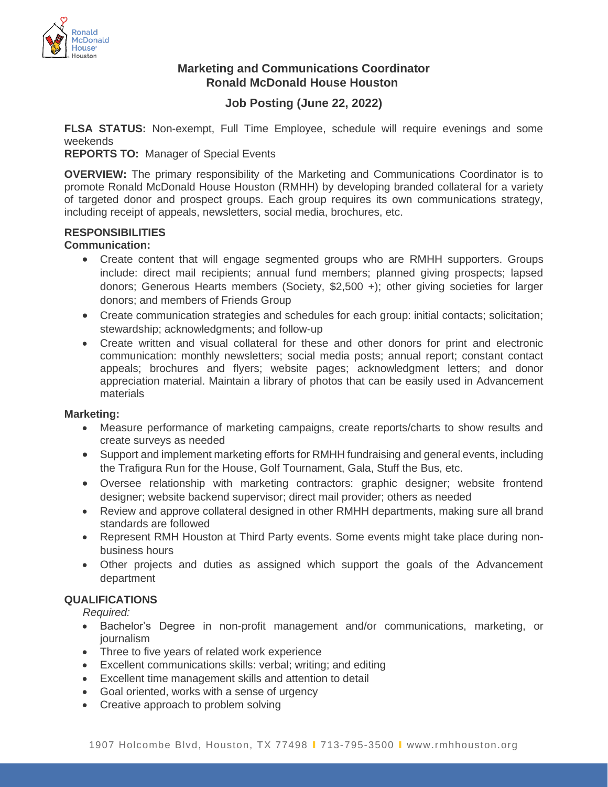

## **Marketing and Communications Coordinator Ronald McDonald House Houston**

# **Job Posting (June 22, 2022)**

**FLSA STATUS:** Non-exempt, Full Time Employee, schedule will require evenings and some weekends

**REPORTS TO:** Manager of Special Events

**OVERVIEW:** The primary responsibility of the Marketing and Communications Coordinator is to promote Ronald McDonald House Houston (RMHH) by developing branded collateral for a variety of targeted donor and prospect groups. Each group requires its own communications strategy, including receipt of appeals, newsletters, social media, brochures, etc.

## **RESPONSIBILITIES**

### **Communication:**

- Create content that will engage segmented groups who are RMHH supporters. Groups include: direct mail recipients; annual fund members; planned giving prospects; lapsed donors; Generous Hearts members (Society, \$2,500 +); other giving societies for larger donors; and members of Friends Group
- Create communication strategies and schedules for each group: initial contacts; solicitation; stewardship; acknowledgments; and follow-up
- Create written and visual collateral for these and other donors for print and electronic communication: monthly newsletters; social media posts; annual report; constant contact appeals; brochures and flyers; website pages; acknowledgment letters; and donor appreciation material. Maintain a library of photos that can be easily used in Advancement materials

#### **Marketing:**

- Measure performance of marketing campaigns, create reports/charts to show results and create surveys as needed
- Support and implement marketing efforts for RMHH fundraising and general events, including the Trafigura Run for the House, Golf Tournament, Gala, Stuff the Bus, etc.
- Oversee relationship with marketing contractors: graphic designer; website frontend designer; website backend supervisor; direct mail provider; others as needed
- Review and approve collateral designed in other RMHH departments, making sure all brand standards are followed
- Represent RMH Houston at Third Party events. Some events might take place during nonbusiness hours
- Other projects and duties as assigned which support the goals of the Advancement department

## **QUALIFICATIONS**

*Required:*

- Bachelor's Degree in non-profit management and/or communications, marketing, or journalism
- Three to five years of related work experience
- Excellent communications skills: verbal; writing; and editing
- Excellent time management skills and attention to detail
- Goal oriented, works with a sense of urgency
- Creative approach to problem solving